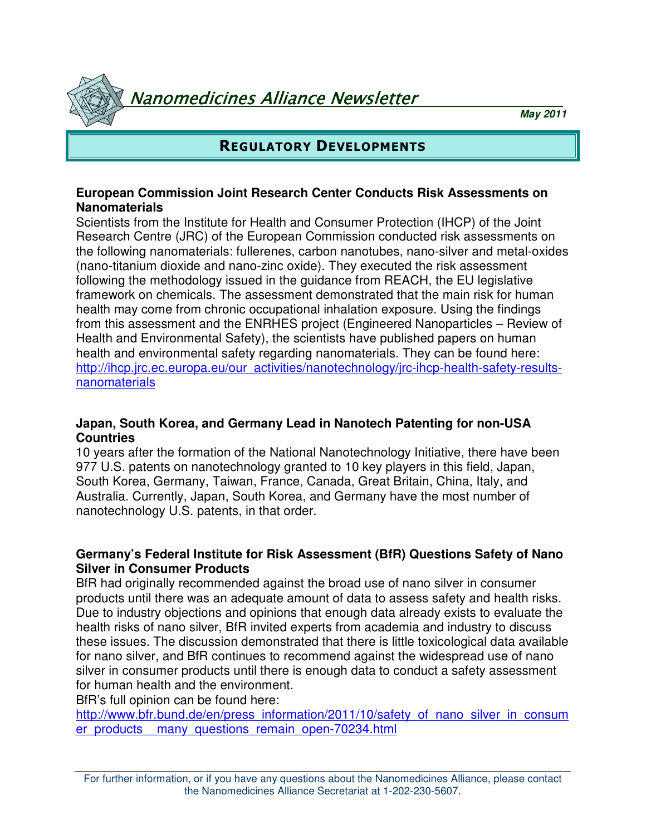Nanomedicines Alliance Newsletter

**May 2011**

## REGULATORY DEVELOPMENTS

#### **European Commission Joint Research Center Conducts Risk Assessments on Nanomaterials**

Scientists from the Institute for Health and Consumer Protection (IHCP) of the Joint Research Centre (JRC) of the European Commission conducted risk assessments on the following nanomaterials: fullerenes, carbon nanotubes, nano-silver and metal-oxides (nano-titanium dioxide and nano-zinc oxide). They executed the risk assessment following the methodology issued in the guidance from REACH, the EU legislative framework on chemicals. The assessment demonstrated that the main risk for human health may come from chronic occupational inhalation exposure. Using the findings from this assessment and the ENRHES project (Engineered Nanoparticles – Review of Health and Environmental Safety), the scientists have published papers on human health and environmental safety regarding nanomaterials. They can be found here: http://ihcp.jrc.ec.europa.eu/our\_activities/nanotechnology/jrc-ihcp-health-safety-resultsnanomaterials

#### **Japan, South Korea, and Germany Lead in Nanotech Patenting for non-USA Countries**

10 years after the formation of the National Nanotechnology Initiative, there have been 977 U.S. patents on nanotechnology granted to 10 key players in this field, Japan, South Korea, Germany, Taiwan, France, Canada, Great Britain, China, Italy, and Australia. Currently, Japan, South Korea, and Germany have the most number of nanotechnology U.S. patents, in that order.

#### **Germany's Federal Institute for Risk Assessment (BfR) Questions Safety of Nano Silver in Consumer Products**

BfR had originally recommended against the broad use of nano silver in consumer products until there was an adequate amount of data to assess safety and health risks. Due to industry objections and opinions that enough data already exists to evaluate the health risks of nano silver, BfR invited experts from academia and industry to discuss these issues. The discussion demonstrated that there is little toxicological data available for nano silver, and BfR continues to recommend against the widespread use of nano silver in consumer products until there is enough data to conduct a safety assessment for human health and the environment.

BfR's full opinion can be found here:

http://www.bfr.bund.de/en/press\_information/2011/10/safety\_of\_nano\_silver\_in\_consum er\_products \_many\_questions\_remain\_open-70234.html

For further information, or if you have any questions about the Nanomedicines Alliance, please contact the Nanomedicines Alliance Secretariat at 1-202-230-5607.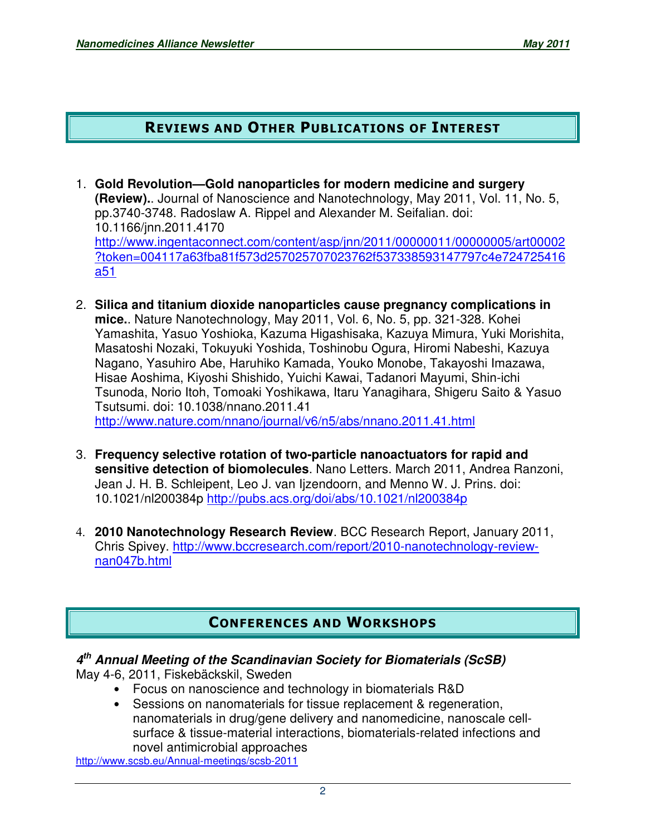## REVIEWS AND OTHER PUBLICATIONS OF INTEREST

- 1. **Gold Revolution—Gold nanoparticles for modern medicine and surgery (Review).**. Journal of Nanoscience and Nanotechnology, May 2011, Vol. 11, No. 5, pp.3740-3748. Radoslaw A. Rippel and Alexander M. Seifalian. doi: 10.1166/jnn.2011.4170 http://www.ingentaconnect.com/content/asp/jnn/2011/00000011/00000005/art00002 ?token=004117a63fba81f573d257025707023762f537338593147797c4e724725416 a51
- 2. **Silica and titanium dioxide nanoparticles cause pregnancy complications in mice.**. Nature Nanotechnology, May 2011, Vol. 6, No. 5, pp. 321-328. Kohei Yamashita, Yasuo Yoshioka, Kazuma Higashisaka, Kazuya Mimura, Yuki Morishita, Masatoshi Nozaki, Tokuyuki Yoshida, Toshinobu Ogura, Hiromi Nabeshi, Kazuya Nagano, Yasuhiro Abe, Haruhiko Kamada, Youko Monobe, Takayoshi Imazawa, Hisae Aoshima, Kiyoshi Shishido, Yuichi Kawai, Tadanori Mayumi, Shin-ichi Tsunoda, Norio Itoh, Tomoaki Yoshikawa, Itaru Yanagihara, Shigeru Saito & Yasuo Tsutsumi. doi: 10.1038/nnano.2011.41 http://www.nature.com/nnano/journal/v6/n5/abs/nnano.2011.41.html
- 3. **Frequency selective rotation of two-particle nanoactuators for rapid and sensitive detection of biomolecules**. Nano Letters. March 2011, Andrea Ranzoni, Jean J. H. B. Schleipent, Leo J. van Ijzendoorn, and Menno W. J. Prins. doi: 10.1021/nl200384p http://pubs.acs.org/doi/abs/10.1021/nl200384p
- 4. **2010 Nanotechnology Research Review**. BCC Research Report, January 2011, Chris Spivey. http://www.bccresearch.com/report/2010-nanotechnology-reviewnan047b.html

# CONFERENCES AND WORKSHOPS

## **4 th Annual Meeting of the Scandinavian Society for Biomaterials (ScSB)**

May 4-6, 2011, Fiskebäckskil, Sweden

- Focus on nanoscience and technology in biomaterials R&D
- Sessions on nanomaterials for tissue replacement & regeneration, nanomaterials in drug/gene delivery and nanomedicine, nanoscale cellsurface & tissue-material interactions, biomaterials-related infections and novel antimicrobial approaches

http://www.scsb.eu/Annual-meetings/scsb-2011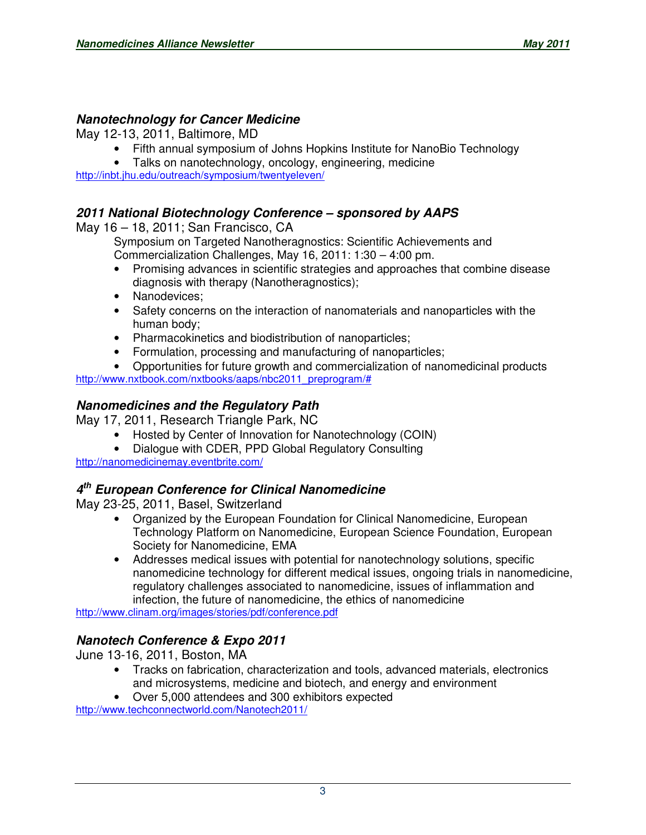### **Nanotechnology for Cancer Medicine**

May 12-13, 2011, Baltimore, MD

- Fifth annual symposium of Johns Hopkins Institute for NanoBio Technology
- Talks on nanotechnology, oncology, engineering, medicine

http://inbt.jhu.edu/outreach/symposium/twentyeleven/

### **2011 National Biotechnology Conference – sponsored by AAPS**

May 16 – 18, 2011; San Francisco, CA

Symposium on Targeted Nanotheragnostics: Scientific Achievements and Commercialization Challenges, May 16, 2011: 1:30 – 4:00 pm.

- Promising advances in scientific strategies and approaches that combine disease diagnosis with therapy (Nanotheragnostics);
- Nanodevices;
- Safety concerns on the interaction of nanomaterials and nanoparticles with the human body;
- Pharmacokinetics and biodistribution of nanoparticles;
- Formulation, processing and manufacturing of nanoparticles;
- Opportunities for future growth and commercialization of nanomedicinal products http://www.nxtbook.com/nxtbooks/aaps/nbc2011\_preprogram/#

### **Nanomedicines and the Regulatory Path**

May 17, 2011, Research Triangle Park, NC

- Hosted by Center of Innovation for Nanotechnology (COIN)
- Dialogue with CDER, PPD Global Regulatory Consulting

http://nanomedicinemay.eventbrite.com/

### **4 th European Conference for Clinical Nanomedicine**

May 23-25, 2011, Basel, Switzerland

- Organized by the European Foundation for Clinical Nanomedicine, European Technology Platform on Nanomedicine, European Science Foundation, European Society for Nanomedicine, EMA
- Addresses medical issues with potential for nanotechnology solutions, specific nanomedicine technology for different medical issues, ongoing trials in nanomedicine, regulatory challenges associated to nanomedicine, issues of inflammation and infection, the future of nanomedicine, the ethics of nanomedicine

http://www.clinam.org/images/stories/pdf/conference.pdf

## **Nanotech Conference & Expo 2011**

June 13-16, 2011, Boston, MA

- Tracks on fabrication, characterization and tools, advanced materials, electronics and microsystems, medicine and biotech, and energy and environment
- Over 5,000 attendees and 300 exhibitors expected

http://www.techconnectworld.com/Nanotech2011/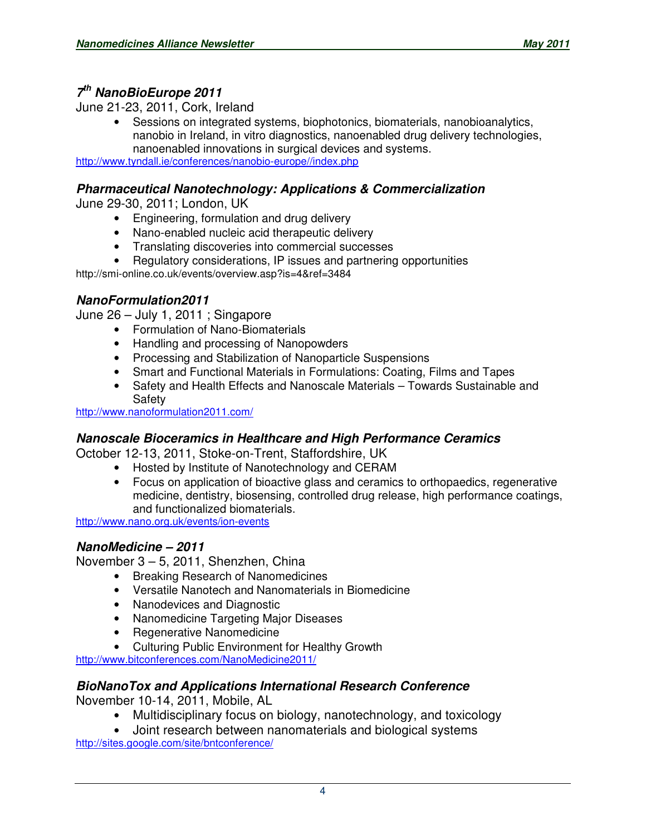## **7 th NanoBioEurope 2011**

June 21-23, 2011, Cork, Ireland

• Sessions on integrated systems, biophotonics, biomaterials, nanobioanalytics, nanobio in Ireland, in vitro diagnostics, nanoenabled drug delivery technologies, nanoenabled innovations in surgical devices and systems.

http://www.tyndall.ie/conferences/nanobio-europe//index.php

### **Pharmaceutical Nanotechnology: Applications & Commercialization**

June 29-30, 2011; London, UK

- Engineering, formulation and drug delivery
- Nano-enabled nucleic acid therapeutic delivery
- Translating discoveries into commercial successes
- Regulatory considerations, IP issues and partnering opportunities

http://smi-online.co.uk/events/overview.asp?is=4&ref=3484

## **NanoFormulation2011**

June 26 – July 1, 2011 ; Singapore

- Formulation of Nano-Biomaterials
- Handling and processing of Nanopowders
- Processing and Stabilization of Nanoparticle Suspensions
- Smart and Functional Materials in Formulations: Coating, Films and Tapes
- Safety and Health Effects and Nanoscale Materials Towards Sustainable and Safety

http://www.nanoformulation2011.com/

### **Nanoscale Bioceramics in Healthcare and High Performance Ceramics**

October 12-13, 2011, Stoke-on-Trent, Staffordshire, UK

- Hosted by Institute of Nanotechnology and CERAM
- Focus on application of bioactive glass and ceramics to orthopaedics, regenerative medicine, dentistry, biosensing, controlled drug release, high performance coatings, and functionalized biomaterials.

http://www.nano.org.uk/events/ion-events

## **NanoMedicine – 2011**

November 3 – 5, 2011, Shenzhen, China

- Breaking Research of Nanomedicines
- Versatile Nanotech and Nanomaterials in Biomedicine
- Nanodevices and Diagnostic
- Nanomedicine Targeting Major Diseases
- Regenerative Nanomedicine
- Culturing Public Environment for Healthy Growth

http://www.bitconferences.com/NanoMedicine2011/

### **BioNanoTox and Applications International Research Conference**

November 10-14, 2011, Mobile, AL

- Multidisciplinary focus on biology, nanotechnology, and toxicology
- Joint research between nanomaterials and biological systems

http://sites.google.com/site/bntconference/